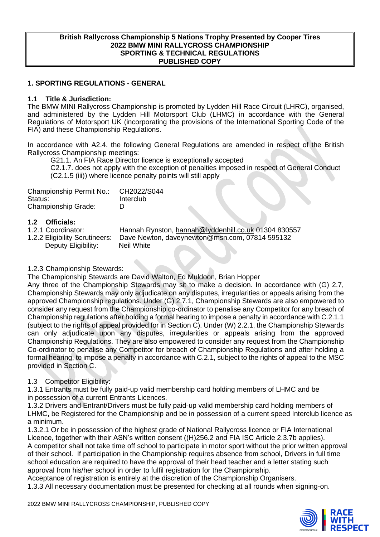#### **British Rallycross Championship 5 Nations Trophy Presented by Cooper Tires 2022 BMW MINI RALLYCROSS CHAMPIONSHIP SPORTING & TECHNICAL REGULATIONS PUBLISHED COPY**

### **1. SPORTING REGULATIONS - GENERAL**

### **1.1 Title & Jurisdiction:**

The BMW MINI Rallycross Championship is promoted by Lydden Hill Race Circuit (LHRC), organised, and administered by the Lydden Hill Motorsport Club (LHMC) in accordance with the General Regulations of Motorsport UK (incorporating the provisions of the International Sporting Code of the FIA) and these Championship Regulations.

In accordance with A2.4. the following General Regulations are amended in respect of the British Rallycross Championship meetings:

G21.1. An FIA Race Director licence is exceptionally accepted

C2.1.7. does not apply with the exception of penalties imposed in respect of General Conduct (C2.1.5 (iii)) where licence penalty points will still apply

| Championship Permit No.:   | CH2022/S044 |
|----------------------------|-------------|
| Status:                    | Interclub   |
| <b>Championship Grade:</b> | D           |

# **1.2 Officials:**

1.2.1 Coordinator: Hannah Rynston, [hannah@lyddenhill.co.uk](mailto:hannah@lyddenhill.co.uk) 01304 830557<br>1.2.2 Eligibility Scrutineers: Dave Newton, daveynewton@msn.com, 07814 595132 Dave Newton, [daveynewton@msn.com,](mailto:daveynewton@msn.com) 07814 595132 Deputy Eligibility: Neil White

### 1.2.3 Championship Stewards:

The Championship Stewards are David Walton, Ed Muldoon, Brian Hopper

Any three of the Championship Stewards may sit to make a decision. In accordance with (G) 2.7, Championship Stewards may only adjudicate on any disputes, irregularities or appeals arising from the approved Championship regulations. Under (G) 2.7.1, Championship Stewards are also empowered to consider any request from the Championship co-ordinator to penalise any Competitor for any breach of Championship regulations after holding a formal hearing to impose a penalty in accordance with C.2.1.1 (subject to the rights of appeal provided for in Section C). Under (W) 2.2.1, the Championship Stewards can only adjudicate upon any disputes, irregularities or appeals arising from the approved Championship Regulations. They are also empowered to consider any request from the Championship Co-ordinator to penalise any Competitor for breach of Championship Regulations and after holding a formal hearing, to impose a penalty in accordance with C.2.1, subject to the rights of appeal to the MSC provided in Section C.

### 1.3 Competitor Eligibility:

1.3.1 Entrants must be fully paid-up valid membership card holding members of LHMC and be in possession of a current Entrants Licences.

1.3.2 Drivers and Entrant/Drivers must be fully paid-up valid membership card holding members of LHMC, be Registered for the Championship and be in possession of a current speed Interclub licence as a minimum.

1.3.2.1 Or be in possession of the highest grade of National Rallycross licence or FIA International Licence, together with their ASN's written consent ((H)256.2 and FIA ISC Article 2.3.7b applies). A competitor shall not take time off school to participate in motor sport without the prior written approval of their school. If participation in the Championship requires absence from school, Drivers in full time school education are required to have the approval of their head teacher and a letter stating such approval from his/her school in order to fulfil registration for the Championship.

Acceptance of registration is entirely at the discretion of the Championship Organisers.

1.3.3 All necessary documentation must be presented for checking at all rounds when signing-on.

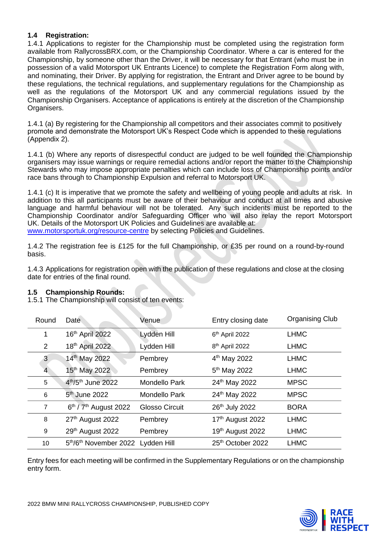# **1.4 Registration:**

1.4.1 Applications to register for the Championship must be completed using the registration form available from RallycrossBRX.com, or the Championship Coordinator. Where a car is entered for the Championship, by someone other than the Driver, it will be necessary for that Entrant (who must be in possession of a valid Motorsport UK Entrants Licence) to complete the Registration Form along with, and nominating, their Driver. By applying for registration, the Entrant and Driver agree to be bound by these regulations, the technical regulations, and supplementary regulations for the Championship as well as the regulations of the Motorsport UK and any commercial regulations issued by the Championship Organisers. Acceptance of applications is entirely at the discretion of the Championship Organisers.

1.4.1 (a) By registering for the Championship all competitors and their associates commit to positively promote and demonstrate the Motorsport UK's Respect Code which is appended to these regulations (Appendix 2).

1.4.1 (b) Where any reports of disrespectful conduct are judged to be well founded the Championship organisers may issue warnings or require remedial actions and/or report the matter to the Championship Stewards who may impose appropriate penalties which can include loss of Championship points and/or race bans through to Championship Expulsion and referral to Motorsport UK.

1.4.1 (c) It is imperative that we promote the safety and wellbeing of young people and adults at risk. In addition to this all participants must be aware of their behaviour and conduct at all times and abusive language and harmful behaviour will not be tolerated. Any such incidents must be reported to the Championship Coordinator and/or Safeguarding Officer who will also relay the report Motorsport UK. Details of the Motorsport UK Policies and Guidelines are available at:

[www.motorsportuk.org/resource-centre](http://www.motorsportuk.org/resource-centre) by selecting Policies and Guidelines.

1.4.2 The registration fee is £125 for the full Championship, or £35 per round on a round-by-round basis.

1.4.3 Applications for registration open with the publication of these regulations and close at the closing date for entries of the final round.

### **1.5 Championship Rounds:**

1.5.1 The Championship will consist of ten events:

| Round          | Date                              | Venue                 | Entry closing date         | <b>Organising Club</b> |
|----------------|-----------------------------------|-----------------------|----------------------------|------------------------|
| 1              | 16th April 2022                   | Lydden Hill           | 6th April 2022             | <b>LHMC</b>            |
| $\overline{2}$ | 18th April 2022                   | Lydden Hill           | 8 <sup>th</sup> April 2022 | <b>LHMC</b>            |
| 3              | 14th May 2022                     | Pembrey               | 4 <sup>th</sup> May 2022   | <b>LHMC</b>            |
| 4              | 15 <sup>th</sup> May 2022         | Pembrey               | 5 <sup>th</sup> May 2022   | <b>LHMC</b>            |
| 5              | 4th/5th June 2022                 | <b>Mondello Park</b>  | 24 <sup>th</sup> May 2022  | <b>MPSC</b>            |
| 6              | $5th$ June 2022                   | <b>Mondello Park</b>  | 24th May 2022              | <b>MPSC</b>            |
| $\overline{7}$ | $6th$ / $7th$ August 2022         | <b>Glosso Circuit</b> | 26th July 2022             | <b>BORA</b>            |
| 8              | 27th August 2022                  | Pembrey               | 17th August 2022           | <b>LHMC</b>            |
| 9              | 29th August 2022                  | Pembrey               | 19th August 2022           | <b>LHMC</b>            |
| 10             | 5th/6th November 2022 Lydden Hill |                       | 25th October 2022          | <b>LHMC</b>            |

Entry fees for each meeting will be confirmed in the Supplementary Regulations or on the championship entry form.

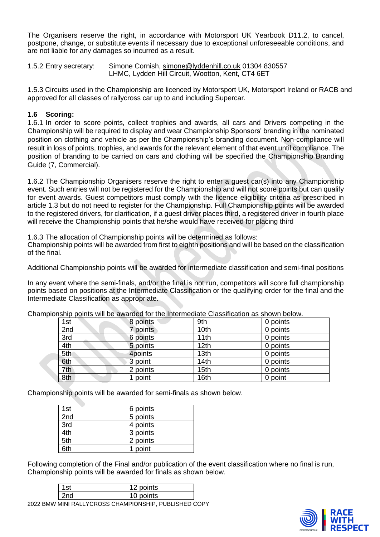The Organisers reserve the right, in accordance with Motorsport UK Yearbook D11.2, to cancel, postpone, change, or substitute events if necessary due to exceptional unforeseeable conditions, and are not liable for any damages so incurred as a result.

1.5.2 Entry secretary: Simone Cornish, [simone@lyddenhill.co.uk](mailto:simone@lyddenhill.co.uk) 01304 830557 LHMC, Lydden Hill Circuit, Wootton, Kent, CT4 6ET

1.5.3 Circuits used in the Championship are licenced by Motorsport UK, Motorsport Ireland or RACB and approved for all classes of rallycross car up to and including Supercar.

# **1.6 Scoring:**

1.6.1 In order to score points, collect trophies and awards, all cars and Drivers competing in the Championship will be required to display and wear Championship Sponsors' branding in the nominated position on clothing and vehicle as per the Championship's branding document. Non-compliance will result in loss of points, trophies, and awards for the relevant element of that event until compliance. The position of branding to be carried on cars and clothing will be specified the Championship Branding Guide (7, Commercial).

1.6.2 The Championship Organisers reserve the right to enter a guest car(s) into any Championship event. Such entries will not be registered for the Championship and will not score points but can qualify for event awards. Guest competitors must comply with the licence eligibility criteria as prescribed in article 1.3 but do not need to register for the Championship. Full Championship points will be awarded to the registered drivers, for clarification, if a guest driver places third, a registered driver in fourth place will receive the Championship points that he/she would have received for placing third

1.6.3 The allocation of Championship points will be determined as follows:

Championship points will be awarded from first to eighth positions and will be based on the classification of the final.

Additional Championship points will be awarded for intermediate classification and semi-final positions

In any event where the semi-finals, and/or the final is not run, competitors will score full championship points based on positions at the Intermediate Classification or the qualifying order for the final and the Intermediate Classification as appropriate.

| 1st | 8 points | 9th              | 0 points |
|-----|----------|------------------|----------|
| 2nd | 7 points | 10 <sub>th</sub> | 0 points |
| 3rd | 6 points | 11th             | 0 points |
| 4th | 5 points | 12th             | 0 points |
| 5th | 4points  | 13th             | 0 points |
| 6th | 3 point  | 14th             | 0 points |
| 7th | 2 points | 15th             | 0 points |
| 8th | 1 point  | 16th             | 0 point  |

Championship points will be awarded for the Intermediate Classification as shown below.

Championship points will be awarded for semi-finals as shown below.

| 1st | 6 points |
|-----|----------|
| 2nd | 5 points |
| 3rd | 4 points |
| 4th | 3 points |
| 5th | 2 points |
| 6th | 1 point  |

Following completion of the Final and/or publication of the event classification where no final is run, Championship points will be awarded for finals as shown below.

| 1st                                                   | 12 points |  |
|-------------------------------------------------------|-----------|--|
| 2 <sub>nd</sub>                                       | 10 points |  |
| 2022 BMW MINI RALLYCROSS CHAMPIONSHIP, PUBLISHED COPY |           |  |

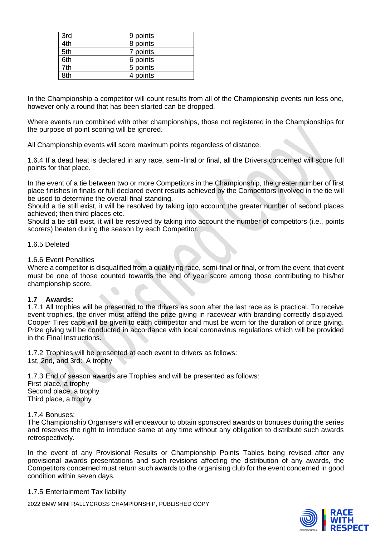| 3rd               | 9 points |
|-------------------|----------|
| $\overline{4}$ th | 8 points |
| 5th               | 7 points |
| 6th               | 6 points |
| 7th               | 5 points |
| $3t\bar{h}$       | 4 points |

In the Championship a competitor will count results from all of the Championship events run less one, however only a round that has been started can be dropped.

Where events run combined with other championships, those not registered in the Championships for the purpose of point scoring will be ignored.

All Championship events will score maximum points regardless of distance.

1.6.4 If a dead heat is declared in any race, semi-final or final, all the Drivers concerned will score full points for that place.

In the event of a tie between two or more Competitors in the Championship, the greater number of first place finishes in finals or full declared event results achieved by the Competitors involved in the tie will be used to determine the overall final standing.

Should a tie still exist, it will be resolved by taking into account the greater number of second places achieved; then third places etc.

Should a tie still exist, it will be resolved by taking into account the number of competitors (i.e., points scorers) beaten during the season by each Competitor.

### 1.6.5 Deleted

### 1.6.6 Event Penalties

Where a competitor is disqualified from a qualifying race, semi-final or final, or from the event, that event must be one of those counted towards the end of year score among those contributing to his/her championship score.

#### **1.7 Awards:**

1.7.1 All trophies will be presented to the drivers as soon after the last race as is practical. To receive event trophies, the driver must attend the prize-giving in racewear with branding correctly displayed. Cooper Tires caps will be given to each competitor and must be worn for the duration of prize giving. Prize giving will be conducted in accordance with local coronavirus regulations which will be provided in the Final Instructions.

1.7.2 Trophies will be presented at each event to drivers as follows: 1st, 2nd, and 3rd: A trophy

1.7.3 End of season awards are Trophies and will be presented as follows: First place, a trophy Second place, a trophy Third place, a trophy

1.7.4 Bonuses:

The Championship Organisers will endeavour to obtain sponsored awards or bonuses during the series and reserves the right to introduce same at any time without any obligation to distribute such awards retrospectively.

In the event of any Provisional Results or Championship Points Tables being revised after any provisional awards presentations and such revisions affecting the distribution of any awards, the Competitors concerned must return such awards to the organising club for the event concerned in good condition within seven days.

1.7.5 Entertainment Tax liability

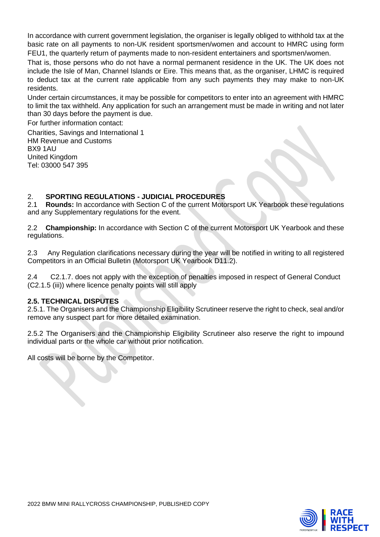In accordance with current government legislation, the organiser is legally obliged to withhold tax at the basic rate on all payments to non-UK resident sportsmen/women and account to HMRC using form FEU1, the quarterly return of payments made to non-resident entertainers and sportsmen/women.

That is, those persons who do not have a normal permanent residence in the UK. The UK does not include the Isle of Man, Channel Islands or Eire. This means that, as the organiser, LHMC is required to deduct tax at the current rate applicable from any such payments they may make to non-UK residents.

Under certain circumstances, it may be possible for competitors to enter into an agreement with HMRC to limit the tax withheld. Any application for such an arrangement must be made in writing and not later than 30 days before the payment is due.

For further information contact:

Charities, Savings and International 1 HM Revenue and Customs BX9 1AU United Kingdom Tel: 03000 547 395

# 2. **SPORTING REGULATIONS - JUDICIAL PROCEDURES**

2.1 **Rounds:** In accordance with Section C of the current Motorsport UK Yearbook these regulations and any Supplementary regulations for the event.

2.2 **Championship:** In accordance with Section C of the current Motorsport UK Yearbook and these regulations.

2.3 Any Regulation clarifications necessary during the year will be notified in writing to all registered Competitors in an Official Bulletin (Motorsport UK Yearbook D11.2).

2.4 C2.1.7. does not apply with the exception of penalties imposed in respect of General Conduct (C2.1.5 (iii)) where licence penalty points will still apply

### **2.5. TECHNICAL DISPUTES**

2.5.1. The Organisers and the Championship Eligibility Scrutineer reserve the right to check, seal and/or remove any suspect part for more detailed examination.

2.5.2 The Organisers and the Championship Eligibility Scrutineer also reserve the right to impound individual parts or the whole car without prior notification.

All costs will be borne by the Competitor.

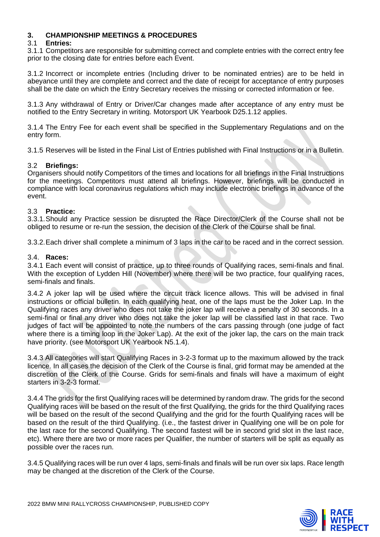# **3. CHAMPIONSHIP MEETINGS & PROCEDURES**

### 3.1 **Entries:**

3.1.1 Competitors are responsible for submitting correct and complete entries with the correct entry fee prior to the closing date for entries before each Event.

3.1.2 Incorrect or incomplete entries (Including driver to be nominated entries) are to be held in abeyance until they are complete and correct and the date of receipt for acceptance of entry purposes shall be the date on which the Entry Secretary receives the missing or corrected information or fee.

3.1.3 Any withdrawal of Entry or Driver/Car changes made after acceptance of any entry must be notified to the Entry Secretary in writing. Motorsport UK Yearbook D25.1.12 applies.

3.1.4 The Entry Fee for each event shall be specified in the Supplementary Regulations and on the entry form.

3.1.5 Reserves will be listed in the Final List of Entries published with Final Instructions or in a Bulletin.

### 3.2 **Briefings:**

Organisers should notify Competitors of the times and locations for all briefings in the Final Instructions for the meetings. Competitors must attend all briefings. However, briefings will be conducted in compliance with local coronavirus regulations which may include electronic briefings in advance of the event.

### 3.3 **Practice:**

3.3.1.Should any Practice session be disrupted the Race Director/Clerk of the Course shall not be obliged to resume or re-run the session, the decision of the Clerk of the Course shall be final.

3.3.2.Each driver shall complete a minimum of 3 laps in the car to be raced and in the correct session.

### 3.4. **Races:**

3.4.1 Each event will consist of practice, up to three rounds of Qualifying races, semi-finals and final. With the exception of Lydden Hill (November) where there will be two practice, four qualifying races, semi-finals and finals.

3.4.2 A joker lap will be used where the circuit track licence allows. This will be advised in final instructions or official bulletin. In each qualifying heat, one of the laps must be the Joker Lap. In the Qualifying races any driver who does not take the joker lap will receive a penalty of 30 seconds. In a semi-final or final any driver who does not take the joker lap will be classified last in that race. Two judges of fact will be appointed to note the numbers of the cars passing through (one judge of fact where there is a timing loop in the Joker Lap). At the exit of the joker lap, the cars on the main track have priority. (see Motorsport UK Yearbook N5.1.4).

3.4.3 All categories will start Qualifying Races in 3-2-3 format up to the maximum allowed by the track licence. In all cases the decision of the Clerk of the Course is final, grid format may be amended at the discretion of the Clerk of the Course. Grids for semi-finals and finals will have a maximum of eight starters in 3-2-3 format.

3.4.4 The grids for the first Qualifying races will be determined by random draw. The grids for the second Qualifying races will be based on the result of the first Qualifying, the grids for the third Qualifying races will be based on the result of the second Qualifying and the grid for the fourth Qualifying races will be based on the result of the third Qualifying. (i.e., the fastest driver in Qualifying one will be on pole for the last race for the second Qualifying. The second fastest will be in second grid slot in the last race, etc). Where there are two or more races per Qualifier, the number of starters will be split as equally as possible over the races run.

3.4.5 Qualifying races will be run over 4 laps, semi-finals and finals will be run over six laps. Race length may be changed at the discretion of the Clerk of the Course.

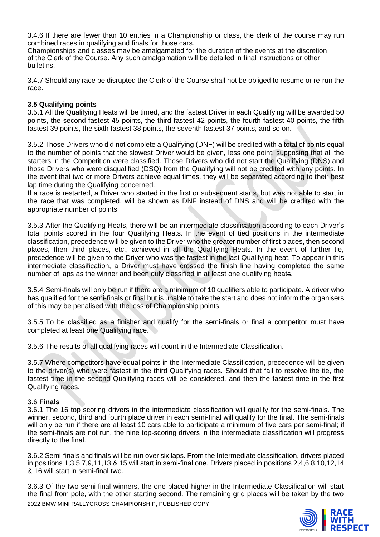3.4.6 If there are fewer than 10 entries in a Championship or class, the clerk of the course may run combined races in qualifying and finals for those cars.

Championships and classes may be amalgamated for the duration of the events at the discretion of the Clerk of the Course. Any such amalgamation will be detailed in final instructions or other bulletins.

3.4.7 Should any race be disrupted the Clerk of the Course shall not be obliged to resume or re-run the race.

### **3.5 Qualifying points**

3.5.1 All the Qualifying Heats will be timed, and the fastest Driver in each Qualifying will be awarded 50 points, the second fastest 45 points, the third fastest 42 points, the fourth fastest 40 points, the fifth fastest 39 points, the sixth fastest 38 points, the seventh fastest 37 points, and so on.

3.5.2 Those Drivers who did not complete a Qualifying (DNF) will be credited with a total of points equal to the number of points that the slowest Driver would be given, less one point, supposing that all the starters in the Competition were classified. Those Drivers who did not start the Qualifying (DNS) and those Drivers who were disqualified (DSQ) from the Qualifying will not be credited with any points. In the event that two or more Drivers achieve equal times, they will be separated according to their best lap time during the Qualifying concerned.

If a race is restarted, a Driver who started in the first or subsequent starts, but was not able to start in the race that was completed, will be shown as DNF instead of DNS and will be credited with the appropriate number of points

3.5.3 After the Qualifying Heats, there will be an intermediate classification according to each Driver's total points scored in the four Qualifying Heats. In the event of tied positions in the intermediate classification, precedence will be given to the Driver who the greater number of first places, then second places, then third places, etc., achieved in all the Qualifying Heats. In the event of further tie, precedence will be given to the Driver who was the fastest in the last Qualifying heat. To appear in this intermediate classification, a Driver must have crossed the finish line having completed the same number of laps as the winner and been duly classified in at least one qualifying heats.

3.5.4 Semi-finals will only be run if there are a minimum of 10 qualifiers able to participate. A driver who has qualified for the semi-finals or final but is unable to take the start and does not inform the organisers of this may be penalised with the loss of Championship points.

3.5.5 To be classified as a finisher and qualify for the semi-finals or final a competitor must have completed at least one Qualifying race.

3.5.6 The results of all qualifying races will count in the Intermediate Classification.

3.5.7 Where competitors have equal points in the Intermediate Classification, precedence will be given to the driver(s) who were fastest in the third Qualifying races. Should that fail to resolve the tie, the fastest time in the second Qualifying races will be considered, and then the fastest time in the first Qualifying races.

#### 3.6 **Finals**

3.6.1 The 16 top scoring drivers in the intermediate classification will qualify for the semi-finals. The winner, second, third and fourth place driver in each semi-final will qualify for the final. The semi-finals will only be run if there are at least 10 cars able to participate a minimum of five cars per semi-final; if the semi-finals are not run, the nine top-scoring drivers in the intermediate classification will progress directly to the final.

3.6.2 Semi-finals and finals will be run over six laps. From the Intermediate classification, drivers placed in positions 1,3,5,7,9,11,13 & 15 will start in semi-final one. Drivers placed in positions 2,4,6,8,10,12,14 & 16 will start in semi-final two.

2022 BMW MINI RALLYCROSS CHAMPIONSHIP, PUBLISHED COPY 3.6.3 Of the two semi-final winners, the one placed higher in the Intermediate Classification will start the final from pole, with the other starting second. The remaining grid places will be taken by the two

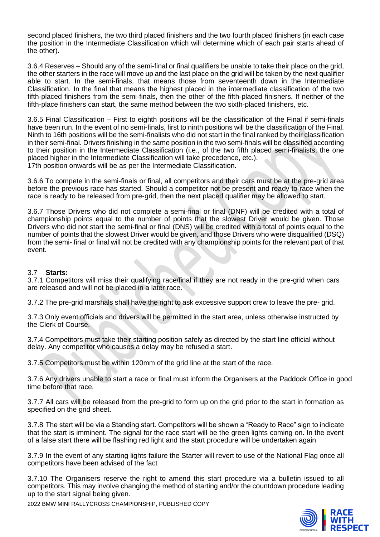second placed finishers, the two third placed finishers and the two fourth placed finishers (in each case the position in the Intermediate Classification which will determine which of each pair starts ahead of the other).

3.6.4 Reserves – Should any of the semi-final or final qualifiers be unable to take their place on the grid, the other starters in the race will move up and the last place on the grid will be taken by the next qualifier able to start. In the semi-finals, that means those from seventeenth down in the Intermediate Classification. In the final that means the highest placed in the intermediate classification of the two fifth-placed finishers from the semi-finals, then the other of the fifth-placed finishers. If neither of the fifth-place finishers can start, the same method between the two sixth-placed finishers, etc.

3.6.5 Final Classification – First to eighth positions will be the classification of the Final if semi-finals have been run. In the event of no semi-finals, first to ninth positions will be the classification of the Final. Ninth to 16th positions will be the semi-finalists who did not start in the final ranked by their classification in their semi-final. Drivers finishing in the same position in the two semi-finals will be classified according to their position in the Intermediate Classification (i.e., of the two fifth placed semi-finalists, the one placed higher in the Intermediate Classification will take precedence, etc.). 17th position onwards will be as per the Intermediate Classification.

3.6.6 To compete in the semi-finals or final, all competitors and their cars must be at the pre-grid area before the previous race has started. Should a competitor not be present and ready to race when the race is ready to be released from pre-grid, then the next placed qualifier may be allowed to start.

3.6.7 Those Drivers who did not complete a semi-final or final (DNF) will be credited with a total of championship points equal to the number of points that the slowest Driver would be given. Those Drivers who did not start the semi-final or final (DNS) will be credited with a total of points equal to the number of points that the slowest Driver would be given, and those Drivers who were disqualified (DSQ) from the semi- final or final will not be credited with any championship points for the relevant part of that event.

### 3.7 **Starts:**

3.7.1 Competitors will miss their qualifying race/final if they are not ready in the pre-grid when cars are released and will not be placed in a later race.

3.7.2 The pre-grid marshals shall have the right to ask excessive support crew to leave the pre- grid.

3.7.3 Only event officials and drivers will be permitted in the start area, unless otherwise instructed by the Clerk of Course.

3.7.4 Competitors must take their starting position safely as directed by the start line official without delay. Any competitor who causes a delay may be refused a start.

3.7.5 Competitors must be within 120mm of the grid line at the start of the race.

3.7.6 Any drivers unable to start a race or final must inform the Organisers at the Paddock Office in good time before that race.

3.7.7 All cars will be released from the pre-grid to form up on the grid prior to the start in formation as specified on the grid sheet.

3.7.8 The start will be via a Standing start. Competitors will be shown a "Ready to Race" sign to indicate that the start is imminent. The signal for the race start will be the green lights coming on. In the event of a false start there will be flashing red light and the start procedure will be undertaken again

3.7.9 In the event of any starting lights failure the Starter will revert to use of the National Flag once all competitors have been advised of the fact

3.7.10 The Organisers reserve the right to amend this start procedure via a bulletin issued to all competitors. This may involve changing the method of starting and/or the countdown procedure leading up to the start signal being given.

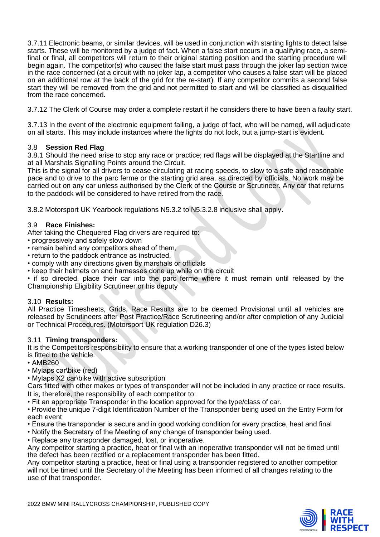3.7.11 Electronic beams, or similar devices, will be used in conjunction with starting lights to detect false starts. These will be monitored by a judge of fact. When a false start occurs in a qualifying race, a semifinal or final, all competitors will return to their original starting position and the starting procedure will begin again. The competitor(s) who caused the false start must pass through the joker lap section twice in the race concerned (at a circuit with no joker lap, a competitor who causes a false start will be placed on an additional row at the back of the grid for the re-start). If any competitor commits a second false start they will be removed from the grid and not permitted to start and will be classified as disqualified from the race concerned.

3.7.12 The Clerk of Course may order a complete restart if he considers there to have been a faulty start.

3.7.13 In the event of the electronic equipment failing, a judge of fact, who will be named, will adjudicate on all starts. This may include instances where the lights do not lock, but a jump-start is evident.

# 3.8 **Session Red Flag**

3.8.1 Should the need arise to stop any race or practice; red flags will be displayed at the Startline and at all Marshals Signalling Points around the Circuit.

This is the signal for all drivers to cease circulating at racing speeds, to slow to a safe and reasonable pace and to drive to the parc ferme or the starting grid area, as directed by officials. No work may be carried out on any car unless authorised by the Clerk of the Course or Scrutineer. Any car that returns to the paddock will be considered to have retired from the race.

3.8.2 Motorsport UK Yearbook regulations N5.3.2 to N5.3.2.8 inclusive shall apply.

# 3.9 **Race Finishes:**

After taking the Chequered Flag drivers are required to:

- progressively and safely slow down
- remain behind any competitors ahead of them,
- return to the paddock entrance as instructed,
- comply with any directions given by marshals or officials
- keep their helmets on and harnesses done up while on the circuit

• if so directed, place their car into the parc ferme where it must remain until released by the Championship Eligibility Scrutineer or his deputy

### 3.10 **Results:**

All Practice Timesheets, Grids, Race Results are to be deemed Provisional until all vehicles are released by Scrutineers after Post Practice/Race Scrutineering and/or after completion of any Judicial or Technical Procedures. (Motorsport UK regulation D26.3)

### 3.11 **Timing transponders:**

It is the Competitors responsibility to ensure that a working transponder of one of the types listed below is fitted to the vehicle.

- AMB260
- Mylaps car\bike (red)
- Mylaps X2 car\bike with active subscription

Cars fitted with other makes or types of transponder will not be included in any practice or race results. It is, therefore, the responsibility of each competitor to:

- Fit an appropriate Transponder in the location approved for the type/class of car.
- Provide the unique 7-digit Identification Number of the Transponder being used on the Entry Form for each event
- Ensure the transponder is secure and in good working condition for every practice, heat and final
- Notify the Secretary of the Meeting of any change of transponder being used.
- Replace any transponder damaged, lost, or inoperative.

Any competitor starting a practice, heat or final with an inoperative transponder will not be timed until the defect has been rectified or a replacement transponder has been fitted.

Any competitor starting a practice, heat or final using a transponder registered to another competitor will not be timed until the Secretary of the Meeting has been informed of all changes relating to the use of that transponder.

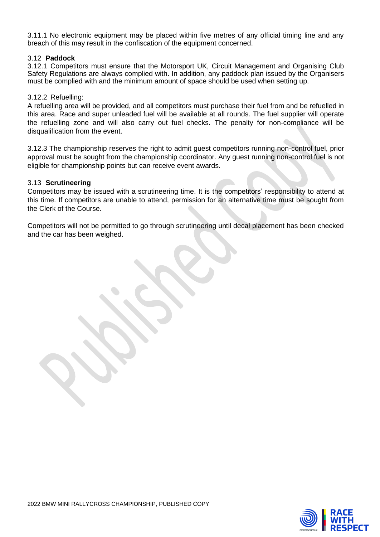3.11.1 No electronic equipment may be placed within five metres of any official timing line and any breach of this may result in the confiscation of the equipment concerned.

### 3.12 **Paddock**

3.12.1 Competitors must ensure that the Motorsport UK, Circuit Management and Organising Club Safety Regulations are always complied with. In addition, any paddock plan issued by the Organisers must be complied with and the minimum amount of space should be used when setting up.

### 3.12.2 Refuelling:

A refuelling area will be provided, and all competitors must purchase their fuel from and be refuelled in this area. Race and super unleaded fuel will be available at all rounds. The fuel supplier will operate the refuelling zone and will also carry out fuel checks. The penalty for non-compliance will be disqualification from the event.

3.12.3 The championship reserves the right to admit guest competitors running non-control fuel, prior approval must be sought from the championship coordinator. Any guest running non-control fuel is not eligible for championship points but can receive event awards.

### 3.13 **Scrutineering**

Competitors may be issued with a scrutineering time. It is the competitors' responsibility to attend at this time. If competitors are unable to attend, permission for an alternative time must be sought from the Clerk of the Course.

Competitors will not be permitted to go through scrutineering until decal placement has been checked and the car has been weighed.

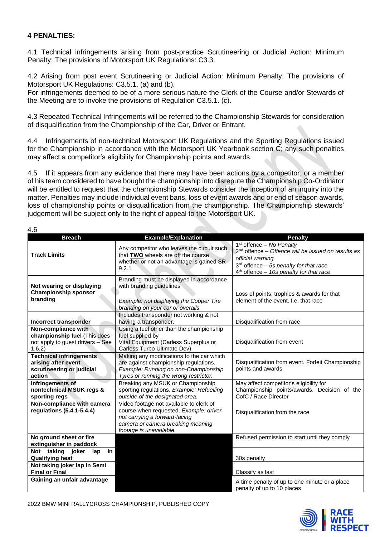# **4 PENALTIES:**

4.1 Technical infringements arising from post-practice Scrutineering or Judicial Action: Minimum Penalty; The provisions of Motorsport UK Regulations: C3.3.

4.2 Arising from post event Scrutineering or Judicial Action: Minimum Penalty; The provisions of Motorsport UK Regulations: C3.5.1. (a) and (b).

For infringements deemed to be of a more serious nature the Clerk of the Course and/or Stewards of the Meeting are to invoke the provisions of Regulation C3.5.1. (c).

4.3 Repeated Technical Infringements will be referred to the Championship Stewards for consideration of disqualification from the Championship of the Car, Driver or Entrant.

4.4 Infringements of non-technical Motorsport UK Regulations and the Sporting Regulations issued for the Championship in accordance with the Motorsport UK Yearbook section C; any such penalties may affect a competitor's eligibility for Championship points and awards.

4.5 If it appears from any evidence that there may have been actions by a competitor, or a member of his team considered to have bought the championship into disrepute the Championship Co-Ordinator will be entitled to request that the championship Stewards consider the inception of an inquiry into the matter. Penalties may include individual event bans, loss of event awards and or end of season awards, loss of championship points or disqualification from the championship. The Championship stewards' judgement will be subject only to the right of appeal to the Motorsport UK.

| ٧<br>٦<br>×<br>۰, |  |
|-------------------|--|
|-------------------|--|

| ט.+                                                                                              |                                                                                                                                                                                    |                                                                                                                                                                                                           |
|--------------------------------------------------------------------------------------------------|------------------------------------------------------------------------------------------------------------------------------------------------------------------------------------|-----------------------------------------------------------------------------------------------------------------------------------------------------------------------------------------------------------|
| <b>Breach</b>                                                                                    | <b>Example/Explanation</b>                                                                                                                                                         | <b>Penalty</b>                                                                                                                                                                                            |
| <b>Track Limits</b>                                                                              | Any competitor who leaves the circuit such<br>that TWO wheels are off the course<br>whether or not an advantage is gained SR.<br>9.2.1                                             | $1st$ offence – No Penalty<br>2 <sup>nd</sup> offence - Offence will be issued on results as<br>official warning<br>$3rd$ offence - 5s penalty for that race<br>$4th$ offence - 10s penalty for that race |
| Not wearing or displaying<br><b>Championship sponsor</b><br>branding                             | Branding must be displayed in accordance<br>with branding guidelines<br>Example: not displaying the Cooper Tire<br>branding on your car or overalls.                               | Loss of points, trophies & awards for that<br>element of the event. I.e. that race                                                                                                                        |
| Incorrect transponder                                                                            | Includes transponder not working & not<br>having a transponder.                                                                                                                    | Disqualification from race                                                                                                                                                                                |
| Non-compliance with<br>championship fuel (This does<br>not apply to guest drivers - See<br>1.6.2 | Using a fuel other than the championship<br>fuel supplied by<br>Vital Equipment (Carless Superplus or<br>Carless Turbo Ultimate Dev)                                               | Disqualification from event                                                                                                                                                                               |
| <b>Technical infringements</b><br>arising after event<br>scrutineering or judicial<br>action     | Making any modifications to the car which<br>are against championship regulations.<br>Example: Running on non-Championship<br>Tyres or running the wrong restrictor.               | Disqualification from event. Forfeit Championship<br>points and awards                                                                                                                                    |
| Infringements of<br>nontechnical MSUK regs &<br>sporting regs                                    | Breaking any MSUK or Championship<br>sporting regulations. Example: Refuelling<br>outside of the designated area.                                                                  | May affect competitor's eligibility for<br>Championship points/awards. Decision of the<br>CofC / Race Director                                                                                            |
| Non-compliance with camera<br>regulations (5.4.1-5.4.4)                                          | Video footage not available to clerk of<br>course when requested. Example: driver<br>not carrying a forward-facing<br>camera or camera breaking meaning<br>footage is unavailable. | Disqualification from the race                                                                                                                                                                            |
| No ground sheet or fire<br>extinguisher in paddock                                               |                                                                                                                                                                                    | Refused permission to start until they comply                                                                                                                                                             |
| Not taking joker<br>lap<br>in<br><b>Qualifying heat</b>                                          |                                                                                                                                                                                    | 30s penalty                                                                                                                                                                                               |
| Not taking joker lap in Semi<br><b>Final or Final</b>                                            |                                                                                                                                                                                    | Classify as last                                                                                                                                                                                          |
| Gaining an unfair advantage                                                                      |                                                                                                                                                                                    | A time penalty of up to one minute or a place<br>penalty of up to 10 places                                                                                                                               |

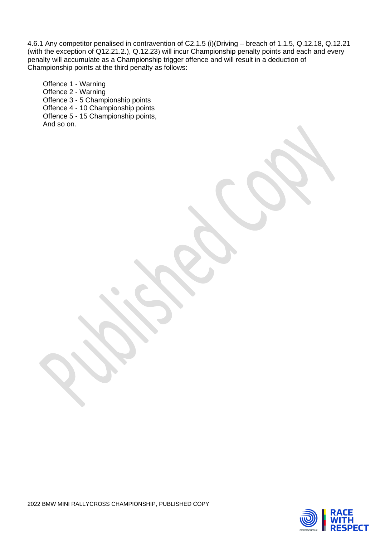4.6.1 Any competitor penalised in contravention of C2.1.5 (i)(Driving – breach of 1.1.5, Q.12.18, Q.12.21 (with the exception of Q12.21.2.), Q.12.23) will incur Championship penalty points and each and every penalty will accumulate as a Championship trigger offence and will result in a deduction of Championship points at the third penalty as follows:

Offence 1 - Warning Offence 2 - Warning Offence 3 - 5 Championship points Offence 4 - 10 Championship points Offence 5 - 15 Championship points, And so on.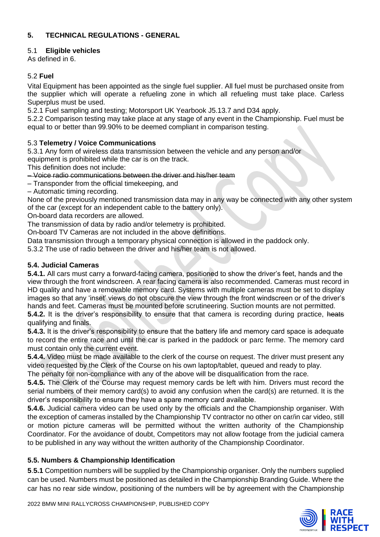# **5. TECHNICAL REGULATIONS - GENERAL**

# 5.1 **Eligible vehicles**

As defined in 6.

# 5.2 **Fuel**

Vital Equipment has been appointed as the single fuel supplier. All fuel must be purchased onsite from the supplier which will operate a refueling zone in which all refueling must take place. Carless Superplus must be used.

5.2.1 Fuel sampling and testing; Motorsport UK Yearbook J5.13.7 and D34 apply.

5.2.2 Comparison testing may take place at any stage of any event in the Championship. Fuel must be equal to or better than 99.90% to be deemed compliant in comparison testing.

# 5.3 **Telemetry / Voice Communications**

5.3.1 Any form of wireless data transmission between the vehicle and any person and/or

equipment is prohibited while the car is on the track.

This definition does not include:

– Voice radio communications between the driver and his/her team

– Transponder from the official timekeeping, and

– Automatic timing recording.

None of the previously mentioned transmission data may in any way be connected with any other system of the car (except for an independent cable to the battery only).

On**‐**board data recorders are allowed.

The transmission of data by radio and/or telemetry is prohibited.

On**‐**board TV Cameras are not included in the above definitions.

Data transmission through a temporary physical connection is allowed in the paddock only.

5.3.2 The use of radio between the driver and his/her team is not allowed.

# **5.4. Judicial Cameras**

**5.4.1.** All cars must carry a forward-facing camera, positioned to show the driver's feet, hands and the view through the front windscreen. A rear facing camera is also recommended. Cameras must record in HD quality and have a removable memory card. Systems with multiple cameras must be set to display images so that any 'inset' views do not obscure the view through the front windscreen or of the driver's hands and feet. Cameras must be mounted before scrutineering. Suction mounts are not permitted. **5.4.2.** It is the driver's responsibility to ensure that that camera is recording during practice, heats qualifying and finals.

**5.4.3.** It is the driver's responsibility to ensure that the battery life and memory card space is adequate to record the entire race and until the car is parked in the paddock or parc ferme. The memory card must contain only the current event.

**5.4.4.** Video must be made available to the clerk of the course on request. The driver must present any video requested by the Clerk of the Course on his own laptop/tablet, queued and ready to play.

The penalty for non-compliance with any of the above will be disqualification from the race.

**5.4.5.** The Clerk of the Course may request memory cards be left with him. Drivers must record the serial numbers of their memory card(s) to avoid any confusion when the card(s) are returned. It is the driver's responsibility to ensure they have a spare memory card available.

**5.4.6.** Judicial camera video can be used only by the officials and the Championship organiser. With the exception of cameras installed by the Championship TV contractor no other on car/in car video, still or motion picture cameras will be permitted without the written authority of the Championship Coordinator. For the avoidance of doubt, Competitors may not allow footage from the judicial camera to be published in any way without the written authority of the Championship Coordinator.

# **5.5. Numbers & Championship Identification**

**5**.**5.1** Competition numbers will be supplied by the Championship organiser. Only the numbers supplied can be used. Numbers must be positioned as detailed in the Championship Branding Guide. Where the car has no rear side window, positioning of the numbers will be by agreement with the Championship



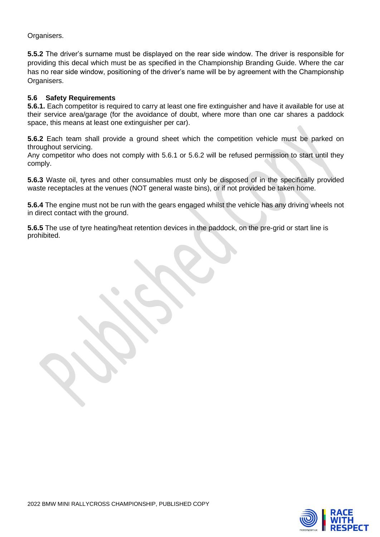Organisers.

**5.5.2** The driver's surname must be displayed on the rear side window. The driver is responsible for providing this decal which must be as specified in the Championship Branding Guide. Where the car has no rear side window, positioning of the driver's name will be by agreement with the Championship Organisers.

# **5.6 Safety Requirements**

**5.6.1.** Each competitor is required to carry at least one fire extinguisher and have it available for use at their service area/garage (for the avoidance of doubt, where more than one car shares a paddock space, this means at least one extinguisher per car).

**5.6.2** Each team shall provide a ground sheet which the competition vehicle must be parked on throughout servicing.

Any competitor who does not comply with 5.6.1 or 5.6.2 will be refused permission to start until they comply.

**5.6.3** Waste oil, tyres and other consumables must only be disposed of in the specifically provided waste receptacles at the venues (NOT general waste bins), or if not provided be taken home.

**5.6.4** The engine must not be run with the gears engaged whilst the vehicle has any driving wheels not in direct contact with the ground.

**5.6.5** The use of tyre heating/heat retention devices in the paddock, on the pre-grid or start line is prohibited.

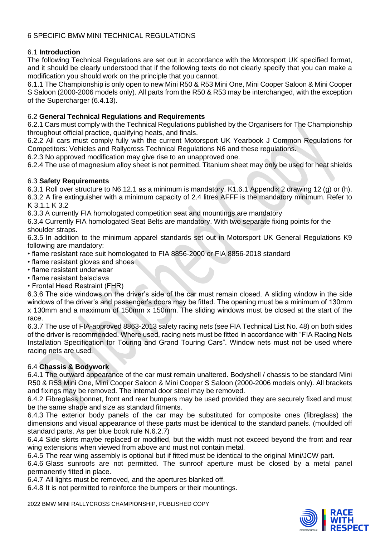# 6 SPECIFIC BMW MINI TECHNICAL REGULATIONS

# 6.1 **Introduction**

The following Technical Regulations are set out in accordance with the Motorsport UK specified format, and it should be clearly understood that if the following texts do not clearly specify that you can make a modification you should work on the principle that you cannot.

6.1.1 The Championship is only open to new Mini R50 & R53 Mini One, Mini Cooper Saloon & Mini Cooper S Saloon (2000-2006 models only). All parts from the R50 & R53 may be interchanged, with the exception of the Supercharger (6.4.13).

# 6.2 **General Technical Regulations and Requirements**

6.2.1 Cars must comply with the Technical Regulations published by the Organisers for The Championship throughout official practice, qualifying heats, and finals.

6.2.2 All cars must comply fully with the current Motorsport UK Yearbook J Common Regulations for Competitors: Vehicles and Rallycross Technical Regulations N6 and these regulations.

6.2.3 No approved modification may give rise to an unapproved one.

6.2.4 The use of magnesium alloy sheet is not permitted. Titanium sheet may only be used for heat shields

### 6.3 **Safety Requirements**

6.3.1 Roll over structure to N6.12.1 as a minimum is mandatory. K1.6.1 Appendix 2 drawing 12 (g) or (h). 6.3.2 A fire extinguisher with a minimum capacity of 2.4 litres AFFF is the mandatory minimum. Refer to K 3.1.1 K 3.2

6.3.3 A currently FIA homologated competition seat and mountings are mandatory

6.3.4 Currently FIA homologated Seat Belts are mandatory. With two separate fixing points for the shoulder straps.

6.3.5 In addition to the minimum apparel standards set out in Motorsport UK General Regulations K9 following are mandatory:

• flame resistant race suit homologated to FIA 8856-2000 or FIA 8856-2018 standard

- flame resistant gloves and shoes
- flame resistant underwear
- flame resistant balaclava
- Frontal Head Restraint (FHR)

6.3.6 The side windows on the driver's side of the car must remain closed. A sliding window in the side windows of the driver's and passenger's doors may be fitted. The opening must be a minimum of 130mm x 130mm and a maximum of 150mm x 150mm. The sliding windows must be closed at the start of the race.

6.3.7 The use of FIA-approved 8863-2013 safety racing nets (see FIA Technical List No. 48) on both sides of the driver is recommended. Where used, racing nets must be fitted in accordance with "FIA Racing Nets Installation Specification for Touring and Grand Touring Cars". Window nets must not be used where racing nets are used.

### 6.4 **Chassis & Bodywork**

6.4.1 The outward appearance of the car must remain unaltered. Bodyshell / chassis to be standard Mini R50 & R53 Mini One, Mini Cooper Saloon & Mini Cooper S Saloon (2000-2006 models only). All brackets and fixings may be removed. The internal door steel may be removed.

6.4.2 Fibreglass bonnet, front and rear bumpers may be used provided they are securely fixed and must be the same shape and size as standard fitments.

6.4.3 The exterior body panels of the car may be substituted for composite ones (fibreglass) the dimensions and visual appearance of these parts must be identical to the standard panels. (moulded off standard parts. As per blue book rule N.6.2.7)

6.4.4 Side skirts maybe replaced or modified, but the width must not exceed beyond the front and rear wing extensions when viewed from above and must not contain metal.

6.4.5 The rear wing assembly is optional but if fitted must be identical to the original Mini/JCW part.

6.4.6 Glass sunroofs are not permitted. The sunroof aperture must be closed by a metal panel permanently fitted in place.

6.4.7 All lights must be removed, and the apertures blanked off.

6.4.8 It is not permitted to reinforce the bumpers or their mountings.

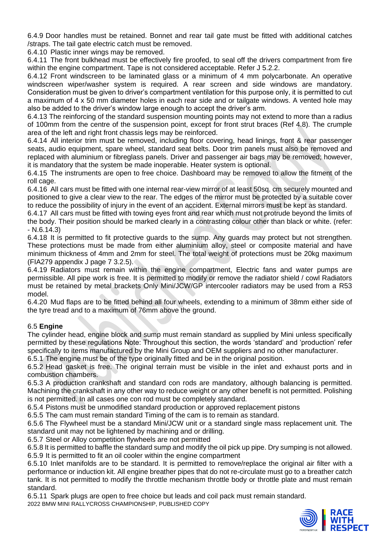6.4.9 Door handles must be retained. Bonnet and rear tail gate must be fitted with additional catches /straps. The tail gate electric catch must be removed.

6.4.10 Plastic inner wings may be removed.

6.4.11 The front bulkhead must be effectively fire proofed, to seal off the drivers compartment from fire within the engine compartment. Tape is not considered acceptable. Refer J 5.2.2.

6.4.12 Front windscreen to be laminated glass or a minimum of 4 mm polycarbonate. An operative windscreen wiper/washer system is required. A rear screen and side windows are mandatory. Consideration must be given to driver's compartment ventilation for this purpose only, it is permitted to cut a maximum of 4 x 50 mm diameter holes in each rear side and or tailgate windows. A vented hole may also be added to the driver's window large enough to accept the driver's arm.

6.4.13 The reinforcing of the standard suspension mounting points may not extend to more than a radius of 100mm from the centre of the suspension point, except for front strut braces (Ref 4.8). The crumple area of the left and right front chassis legs may be reinforced.

6.4.14 All interior trim must be removed, including floor covering, head linings, front & rear passenger seats, audio equipment, spare wheel, standard seat belts. Door trim panels must also be removed and replaced with aluminium or fibreglass panels. Driver and passenger air bags may be removed; however, it is mandatory that the system be made inoperable. Heater system is optional.

6.4.15 The instruments are open to free choice. Dashboard may be removed to allow the fitment of the roll cage.

6.4.16 All cars must be fitted with one internal rear-view mirror of at least 50sq. cm securely mounted and positioned to give a clear view to the rear. The edges of the mirror must be protected by a suitable cover to reduce the possibility of injury in the event of an accident. External mirrors must be kept as standard.

6.4.17 All cars must be fitted with towing eyes front and rear which must not protrude beyond the limits of the body. Their position should be marked clearly in a contrasting colour other than black or white. (refer: - N.6.14.3)

6.4.18 It is permitted to fit protective guards to the sump. Any guards may protect but not strengthen. These protections must be made from either aluminium alloy, steel or composite material and have minimum thickness of 4mm and 2mm for steel. The total weight of protections must be 20kg maximum (FIA279 appendix J page 7 3.2.5).

6.4.19 Radiators must remain within the engine compartment, Electric fans and water pumps are permissible. All pipe work is free. It is permitted to modify or remove the radiator shield / cowl Radiators must be retained by metal brackets Only Mini/JCW/GP intercooler radiators may be used from a R53 model.

6.4.20 Mud flaps are to be fitted behind all four wheels, extending to a minimum of 38mm either side of the tyre tread and to a maximum of 76mm above the ground.

# 6.5 **Engine**

The cylinder head, engine block and sump must remain standard as supplied by Mini unless specifically permitted by these regulations Note: Throughout this section, the words 'standard' and 'production' refer specifically to items manufactured by the Mini Group and OEM suppliers and no other manufacturer.

6.5.1 The engine must be of the type originally fitted and be in the original position.

6.5.2 Head gasket is free. The original terrain must be visible in the inlet and exhaust ports and in combustion chambers.

6.5.3 A production crankshaft and standard con rods are mandatory, although balancing is permitted. Machining the crankshaft in any other way to reduce weight or any other benefit is not permitted. Polishing is not permitted. In all cases one con rod must be completely standard.

6.5.4 Pistons must be unmodified standard production or approved replacement pistons

6.5.5 The cam must remain standard Timing of the cam is to remain as standard.

6.5.6 The Flywheel must be a standard Mini/JCW unit or a standard single mass replacement unit. The standard unit may not be lightened by machining and or drilling.

6.5.7 Steel or Alloy competition flywheels are not permitted

6.5.8 It is permitted to baffle the standard sump and modify the oil pick up pipe. Dry sumping is not allowed. 6.5.9 It is permitted to fit an oil cooler within the engine compartment

6.5.10 Inlet manifolds are to be standard. It is permitted to remove/replace the original air filter with a performance or induction kit. All engine breather pipes that do not re-circulate must go to a breather catch tank. It is not permitted to modify the throttle mechanism throttle body or throttle plate and must remain standard.

2022 BMW MINI RALLYCROSS CHAMPIONSHIP, PUBLISHED COPY 6.5.11 Spark plugs are open to free choice but leads and coil pack must remain standard.

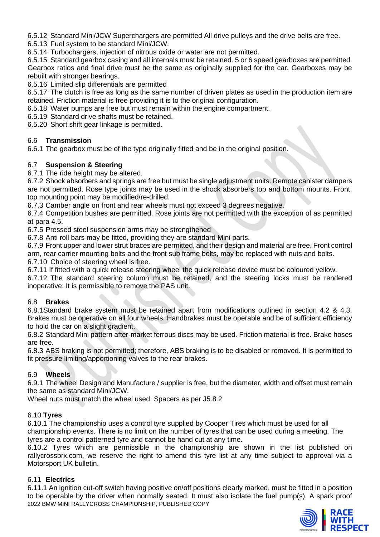6.5.12 Standard Mini/JCW Superchargers are permitted All drive pulleys and the drive belts are free.

6.5.13 Fuel system to be standard Mini/JCW.

6.5.14 Turbochargers, injection of nitrous oxide or water are not permitted.

6.5.15 Standard gearbox casing and all internals must be retained. 5 or 6 speed gearboxes are permitted. Gearbox ratios and final drive must be the same as originally supplied for the car. Gearboxes may be rebuilt with stronger bearings.

6.5.16 Limited slip differentials are permitted

6.5.17 The clutch is free as long as the same number of driven plates as used in the production item are retained. Friction material is free providing it is to the original configuration.

6.5.18 Water pumps are free but must remain within the engine compartment.

6.5.19 Standard drive shafts must be retained.

6.5.20 Short shift gear linkage is permitted.

# 6.6 **Transmission**

6.6.1 The gearbox must be of the type originally fitted and be in the original position.

# 6.7 **Suspension & Steering**

6.7.1 The ride height may be altered.

6.7.2 Shock absorbers and springs are free but must be single adjustment units. Remote canister dampers are not permitted. Rose type joints may be used in the shock absorbers top and bottom mounts. Front, top mounting point may be modified/re-drilled.

6.7.3 Camber angle on front and rear wheels must not exceed 3 degrees negative.

6.7.4 Competition bushes are permitted. Rose joints are not permitted with the exception of as permitted at para 4.5.

6.7.5 Pressed steel suspension arms may be strengthened

6.7.8 Anti roll bars may be fitted, providing they are standard Mini parts.

6.7.9 Front upper and lower strut braces are permitted, and their design and material are free. Front control arm, rear carrier mounting bolts and the front sub frame bolts, may be replaced with nuts and bolts.

6.7.10 Choice of steering wheel is free.

6.7.11 If fitted with a quick release steering wheel the quick release device must be coloured yellow.

6.7.12 The standard steering column must be retained, and the steering locks must be rendered inoperative. It is permissible to remove the PAS unit.

# 6.8 **Brakes**

6.8.1Standard brake system must be retained apart from modifications outlined in section 4.2 & 4.3. Brakes must be operative on all four wheels. Handbrakes must be operable and be of sufficient efficiency to hold the car on a slight gradient.

6.8.2 Standard Mini pattern after-market ferrous discs may be used. Friction material is free. Brake hoses are free.

6.8.3 ABS braking is not permitted; therefore, ABS braking is to be disabled or removed. It is permitted to fit pressure limiting/apportioning valves to the rear brakes.

# 6.9 **Wheels**

6.9.1 The wheel Design and Manufacture / supplier is free, but the diameter, width and offset must remain the same as standard Mini/JCW.

Wheel nuts must match the wheel used. Spacers as per J5.8.2

# 6.10 **Tyres**

6.10.1 The championship uses a control tyre supplied by Cooper Tires which must be used for all championship events. There is no limit on the number of tyres that can be used during a meeting. The tyres are a control patterned tyre and cannot be hand cut at any time.

6.10.2 Tyres which are permissible in the championship are shown in the list published on rallycrossbrx.com, we reserve the right to amend this tyre list at any time subject to approval via a Motorsport UK bulletin.

### 6.11 **Electrics**

2022 BMW MINI RALLYCROSS CHAMPIONSHIP, PUBLISHED COPY 6.11.1 An ignition cut-off switch having positive on/off positions clearly marked, must be fitted in a position to be operable by the driver when normally seated. It must also isolate the fuel pump(s). A spark proof

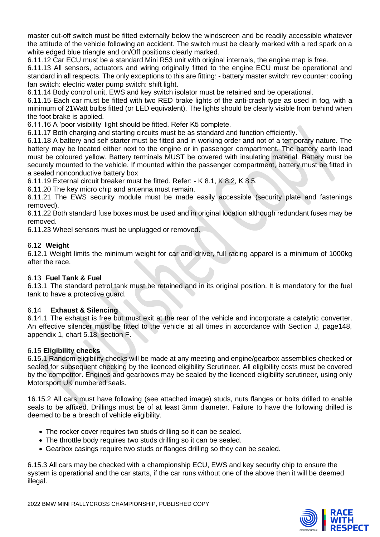master cut-off switch must be fitted externally below the windscreen and be readily accessible whatever the attitude of the vehicle following an accident. The switch must be clearly marked with a red spark on a white edged blue triangle and on/Off positions clearly marked.

6.11.12 Car ECU must be a standard Mini R53 unit with original internals, the engine map is free.

6.11.13 All sensors, actuators and wiring originally fitted to the engine ECU must be operational and standard in all respects. The only exceptions to this are fitting: - battery master switch: rev counter: cooling fan switch: electric water pump switch: shift light.

6.11.14 Body control unit, EWS and key switch isolator must be retained and be operational.

6.11.15 Each car must be fitted with two RED brake lights of the anti-crash type as used in fog, with a minimum of 21Watt bulbs fitted (or LED equivalent). The lights should be clearly visible from behind when the foot brake is applied.

6.11.16 A 'poor visibility' light should be fitted. Refer K5 complete.

6.11.17 Both charging and starting circuits must be as standard and function efficiently.

6.11.18 A battery and self starter must be fitted and in working order and not of a temporary nature. The battery may be located either next to the engine or in passenger compartment. The battery earth lead must be coloured yellow. Battery terminals MUST be covered with insulating material. Battery must be securely mounted to the vehicle. If mounted within the passenger compartment, battery must be fitted in a sealed nonconductive battery box

6.11.19 External circuit breaker must be fitted. Refer: - K 8.1, K 8.2, K 8.5.

6.11.20 The key micro chip and antenna must remain.

6.11.21 The EWS security module must be made easily accessible (security plate and fastenings removed).

6.11.22 Both standard fuse boxes must be used and in original location although redundant fuses may be removed.

6.11.23 Wheel sensors must be unplugged or removed.

# 6.12 **Weight**

6.12.1 Weight limits the minimum weight for car and driver, full racing apparel is a minimum of 1000kg after the race.

### 6.13 **Fuel Tank & Fuel**

6.13.1 The standard petrol tank must be retained and in its original position. It is mandatory for the fuel tank to have a protective guard.

### 6.14 **Exhaust & Silencing**

6.14.1 The exhaust is free but must exit at the rear of the vehicle and incorporate a catalytic converter. An effective silencer must be fitted to the vehicle at all times in accordance with Section J, page148, appendix 1, chart 5.18, section F.

### 6.15 **Eligibility checks**

6.15.1 Random eligibility checks will be made at any meeting and engine/gearbox assemblies checked or sealed for subsequent checking by the licenced eligibility Scrutineer. All eligibility costs must be covered by the competitor. Engines and gearboxes may be sealed by the licenced eligibility scrutineer, using only Motorsport UK numbered seals.

16.15.2 All cars must have following (see attached image) studs, nuts flanges or bolts drilled to enable seals to be affixed. Drillings must be of at least 3mm diameter. Failure to have the following drilled is deemed to be a breach of vehicle eligibility.

- The rocker cover requires two studs drilling so it can be sealed.
- The throttle body requires two studs drilling so it can be sealed.
- Gearbox casings require two studs or flanges drilling so they can be sealed.

6.15.3 All cars may be checked with a championship ECU, EWS and key security chip to ensure the system is operational and the car starts, if the car runs without one of the above then it will be deemed illegal.



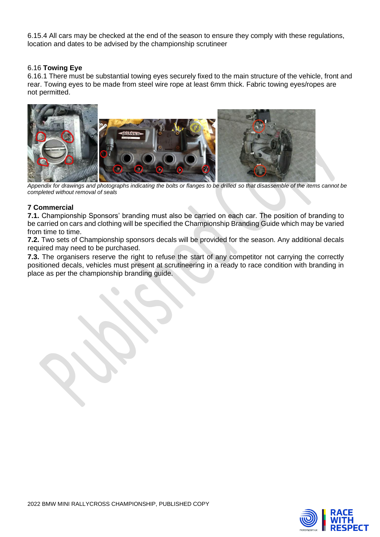6.15.4 All cars may be checked at the end of the season to ensure they comply with these regulations, location and dates to be advised by the championship scrutineer

# 6.16 **Towing Eye**

6.16.1 There must be substantial towing eyes securely fixed to the main structure of the vehicle, front and rear. Towing eyes to be made from steel wire rope at least 6mm thick. Fabric towing eyes/ropes are not permitted.



*Appendix for drawings and photographs indicating the bolts or flanges to be drilled so that disassemble of the items cannot be completed without removal of seals*

# **7 Commercial**

**7.1.** Championship Sponsors' branding must also be carried on each car. The position of branding to be carried on cars and clothing will be specified the Championship Branding Guide which may be varied from time to time.

**7.2.** Two sets of Championship sponsors decals will be provided for the season. Any additional decals required may need to be purchased.

**7.3.** The organisers reserve the right to refuse the start of any competitor not carrying the correctly positioned decals, vehicles must present at scrutineering in a ready to race condition with branding in place as per the championship branding guide.